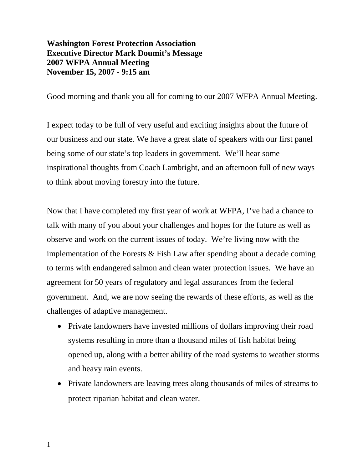## **Washington Forest Protection Association Executive Director Mark Doumit's Message 2007 WFPA Annual Meeting November 15, 2007 - 9:15 am**

Good morning and thank you all for coming to our 2007 WFPA Annual Meeting.

I expect today to be full of very useful and exciting insights about the future of our business and our state. We have a great slate of speakers with our first panel being some of our state's top leaders in government. We'll hear some inspirational thoughts from Coach Lambright, and an afternoon full of new ways to think about moving forestry into the future.

Now that I have completed my first year of work at WFPA, I've had a chance to talk with many of you about your challenges and hopes for the future as well as observe and work on the current issues of today. We're living now with the implementation of the Forests  $\&$  Fish Law after spending about a decade coming to terms with endangered salmon and clean water protection issues. We have an agreement for 50 years of regulatory and legal assurances from the federal government. And, we are now seeing the rewards of these efforts, as well as the challenges of adaptive management.

- Private landowners have invested millions of dollars improving their road systems resulting in more than a thousand miles of fish habitat being opened up, along with a better ability of the road systems to weather storms and heavy rain events.
- Private landowners are leaving trees along thousands of miles of streams to protect riparian habitat and clean water.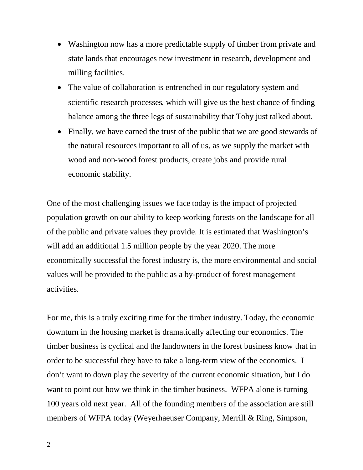- Washington now has a more predictable supply of timber from private and state lands that encourages new investment in research, development and milling facilities.
- The value of collaboration is entrenched in our regulatory system and scientific research processes, which will give us the best chance of finding balance among the three legs of sustainability that Toby just talked about.
- Finally, we have earned the trust of the public that we are good stewards of the natural resources important to all of us, as we supply the market with wood and non-wood forest products, create jobs and provide rural economic stability.

One of the most challenging issues we face today is the impact of projected population growth on our ability to keep working forests on the landscape for all of the public and private values they provide. It is estimated that Washington's will add an additional 1.5 million people by the year 2020. The more economically successful the forest industry is, the more environmental and social values will be provided to the public as a by-product of forest management activities.

For me, this is a truly exciting time for the timber industry. Today, the economic downturn in the housing market is dramatically affecting our economics. The timber business is cyclical and the landowners in the forest business know that in order to be successful they have to take a long-term view of the economics. I don't want to down play the severity of the current economic situation, but I do want to point out how we think in the timber business. WFPA alone is turning 100 years old next year. All of the founding members of the association are still members of WFPA today (Weyerhaeuser Company, Merrill & Ring, Simpson,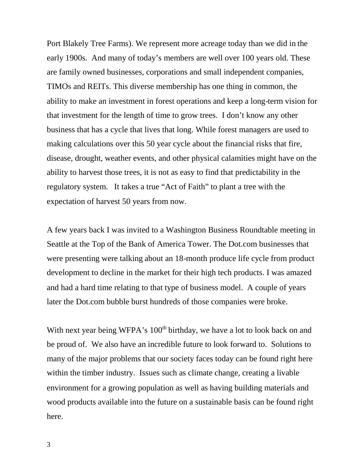Port Blakely Tree Farms). We represent more acreage today than we did in the early 1900s. And many of today's members are well over 100 years old. These are family owned businesses, corporations and small independent companies, TIMOs and REITs. This diverse membership has one thing in common, the ability to make an investment in forest operations and keep a long-term vision for that investment for the length of time to grow trees. I don't know any other business that has a cycle that lives that long. While forest managers are used to making calculations over this 50 year cycle about the financial risks that fire, disease, drought, weather events, and other physical calamities might have on the ability to harvest those trees, it is not as easy to find that predictability in the regulatory system. It takes a true "Act of Faith" to plant a tree with the expectation of harvest 50 years from now.

A few years back I was invited to a Washington Business Roundtable meeting in Seattle at the Top of the Bank of America Tower. The Dot.com businesses that were presenting were talking about an 18-month produce life cycle from product development to decline in the market for their high tech products. I was amazed and had a hard time relating to that type of business model. A couple of years later the Dot.com bubble burst hundreds of those companies were broke.

With next year being WFPA's 100<sup>th</sup> birthday, we have a lot to look back on and be proud of. We also have an incredible future to look forward to. Solutions to many of the major problems that our society faces today can be found right here within the timber industry. Issues such as climate change, creating a livable environment for a growing population as well as having building materials and wood products available into the future on a sustainable basis can be found right here.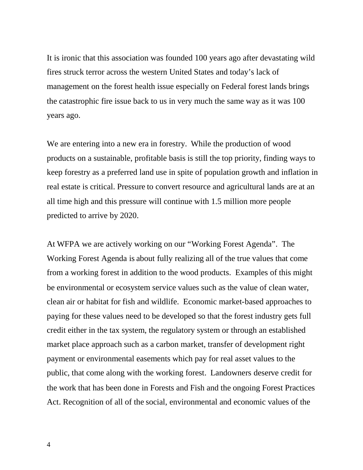It is ironic that this association was founded 100 years ago after devastating wild fires struck terror across the western United States and today's lack of management on the forest health issue especially on Federal forest lands brings the catastrophic fire issue back to us in very much the same way as it was 100 years ago.

We are entering into a new era in forestry. While the production of wood products on a sustainable, profitable basis is still the top priority, finding ways to keep forestry as a preferred land use in spite of population growth and inflation in real estate is critical. Pressure to convert resource and agricultural lands are at an all time high and this pressure will continue with 1.5 million more people predicted to arrive by 2020.

At WFPA we are actively working on our "Working Forest Agenda". The Working Forest Agenda is about fully realizing all of the true values that come from a working forest in addition to the wood products. Examples of this might be environmental or ecosystem service values such as the value of clean water, clean air or habitat for fish and wildlife. Economic market-based approaches to paying for these values need to be developed so that the forest industry gets full credit either in the tax system, the regulatory system or through an established market place approach such as a carbon market, transfer of development right payment or environmental easements which pay for real asset values to the public, that come along with the working forest. Landowners deserve credit for the work that has been done in Forests and Fish and the ongoing Forest Practices Act. Recognition of all of the social, environmental and economic values of the